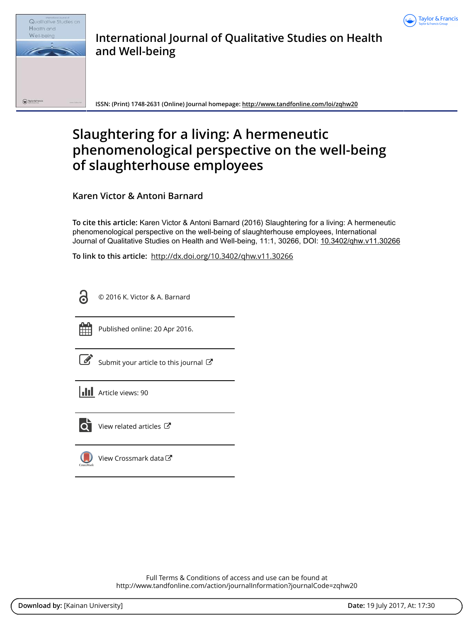



**International Journal of Qualitative Studies on Health and Well-being**

**ISSN: (Print) 1748-2631 (Online) Journal homepage:<http://www.tandfonline.com/loi/zqhw20>**

# **Slaughtering for a living: A hermeneutic phenomenological perspective on the well-being of slaughterhouse employees**

**Karen Victor & Antoni Barnard**

**To cite this article:** Karen Victor & Antoni Barnard (2016) Slaughtering for a living: A hermeneutic phenomenological perspective on the well-being of slaughterhouse employees, International Journal of Qualitative Studies on Health and Well-being, 11:1, 30266, DOI: [10.3402/qhw.v11.30266](http://www.tandfonline.com/action/showCitFormats?doi=10.3402/qhw.v11.30266)

**To link to this article:** <http://dx.doi.org/10.3402/qhw.v11.30266>



© 2016 K. Victor & A. Barnard



Published online: 20 Apr 2016.

|--|

[Submit your article to this journal](http://www.tandfonline.com/action/authorSubmission?journalCode=zqhw20&show=instructions)  $\mathbb{Z}$ 

**III** Article views: 90



[View related articles](http://www.tandfonline.com/doi/mlt/10.3402/qhw.v11.30266) C

[View Crossmark data](http://crossmark.crossref.org/dialog/?doi=10.3402/qhw.v11.30266&domain=pdf&date_stamp=2016-04-20)<sup>™</sup>

Full Terms & Conditions of access and use can be found at <http://www.tandfonline.com/action/journalInformation?journalCode=zqhw20>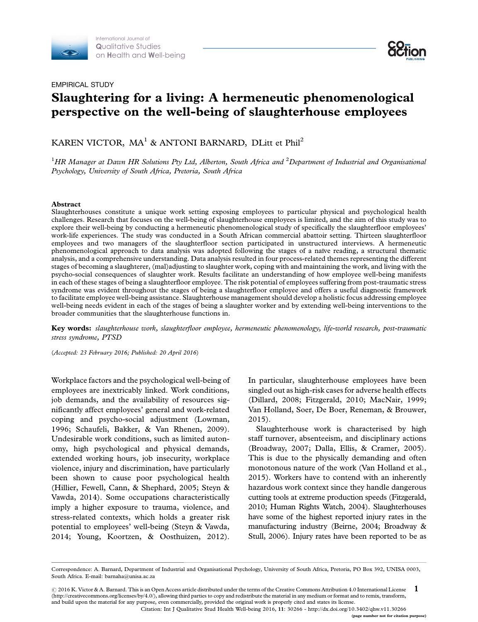

International Journal of **Q**ualitative Studies International Journal of<br> **Q**ualitative Studies<br>
on Health and Well-being<br>TUDY



#### EMPIRICAL STUDY

# Slaughtering for a living: A hermeneutic phenomenological perspective on the well-being of slaughterhouse employees

KAREN VICTOR, MA<sup>1</sup> & ANTONI BARNARD, DLitt et Phil<sup>2</sup>

<sup>1</sup>HR Manager at Dawn HR Solutions Pty Ltd, Alberton, South Africa and <sup>2</sup>Department of Industrial and Organisational Psychology, University of South Africa, Pretoria, South Africa

#### Abstract

Slaughterhouses constitute a unique work setting exposing employees to particular physical and psychological health challenges. Research that focuses on the well-being of slaughterhouse employees is limited, and the aim of this study was to explore their well-being by conducting a hermeneutic phenomenological study of specifically the slaughterfloor employees' work-life experiences. The study was conducted in a South African commercial abattoir setting. Thirteen slaughterfloor employees and two managers of the slaughterfloor section participated in unstructured interviews. A hermeneutic phenomenological approach to data analysis was adopted following the stages of a naïve reading, a structural thematic analysis, and a comprehensive understanding. Data analysis resulted in four process-related themes representing the different stages of becoming a slaughterer, (mal)adjusting to slaughter work, coping with and maintaining the work, and living with the psycho-social consequences of slaughter work. Results facilitate an understanding of how employee well-being manifests in each of these stages of being a slaughterfloor employee. The risk potential of employees suffering from post-traumatic stress syndrome was evident throughout the stages of being a slaughterfloor employee and offers a useful diagnostic framework to facilitate employee well-being assistance. Slaughterhouse management should develop a holistic focus addressing employee well-being needs evident in each of the stages of being a slaughter worker and by extending well-being interventions to the broader communities that the slaughterhouse functions in.

Key words: slaughterhouse work, slaughterfloor employee, hermeneutic phenomenology, life-world research, post-traumatic stress syndrome, PTSD

(Accepted: 23 February 2016; Published: 20 April 2016)

Workplace factors and the psychological well-being of employees are inextricably linked. Work conditions, job demands, and the availability of resources significantly affect employees' general and work-related coping and psycho-social adjustment (Lowman, 1996; Schaufeli, Bakker, & Van Rhenen, 2009). Undesirable work conditions, such as limited autonomy, high psychological and physical demands, extended working hours, job insecurity, workplace violence, injury and discrimination, have particularly been shown to cause poor psychological health (Hillier, Fewell, Cann, & Shephard, 2005; Steyn & Vawda, 2014). Some occupations characteristically imply a higher exposure to trauma, violence, and stress-related contexts, which holds a greater risk potential to employees' well-being (Steyn & Vawda, 2014; Young, Koortzen, & Oosthuizen, 2012).

In particular, slaughterhouse employees have been singled out as high-risk cases for adverse health effects (Dillard, 2008; Fitzgerald, 2010; MacNair, 1999; Van Holland, Soer, De Boer, Reneman, & Brouwer, 2015).

Slaughterhouse work is characterised by high staff turnover, absenteeism, and disciplinary actions (Broadway, 2007; Dalla, Ellis, & Cramer, 2005). This is due to the physically demanding and often monotonous nature of the work (Van Holland et al., 2015). Workers have to contend with an inherently hazardous work context since they handle dangerous cutting tools at extreme production speeds (Fitzgerald, 2010; Human Rights Watch, 2004). Slaughterhouses have some of the highest reported injury rates in the manufacturing industry (Beirne, 2004; Broadway & Stull, 2006). Injury rates have been reported to be as

© 2016 K. Victor & A. Barnard. This is an Open Access article distributed under the terms of the Creative Commons Attribution 4.0 International License [\(http://creativecommons.org/licenses/by/4.0/\)](http://creativecommons.org/licenses/by/4.0/), allowing third parties to copy and redistribute the material in any medium or format and to remix, transform, and build upon the material for any purpose, even commercially, provided the original work is properly cited and states its license. 1 [Citation: Int J Qualitative Stud Health Well-being 2016,](http://www.ijqhw.net/index.php/qhw/article/view/30266) 11: 30266 -<http://dx.doi.org/10.3402/qhw.v11.30266>

Correspondence: A. Barnard, Department of Industrial and Organisational Psychology, University of South Africa, Pretoria, PO Box 392, UNISA 0003, South Africa. E-mail: barnaha@unisa.ac.za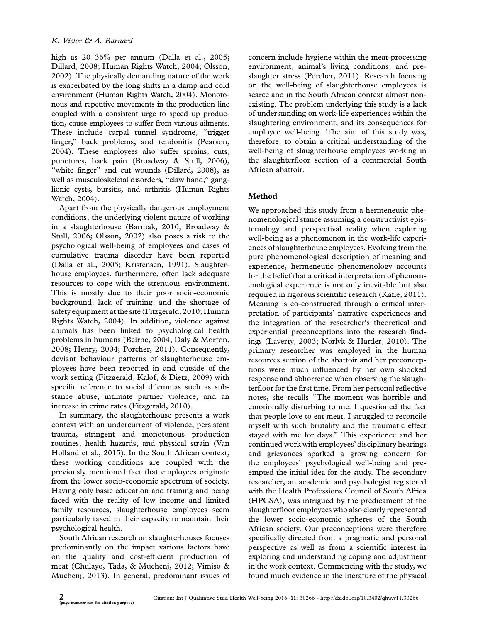high as 20-36% per annum (Dalla et al., 2005; Dillard, 2008; Human Rights Watch, 2004; Olsson, 2002). The physically demanding nature of the work is exacerbated by the long shifts in a damp and cold environment (Human Rights Watch, 2004). Monotonous and repetitive movements in the production line coupled with a consistent urge to speed up production, cause employees to suffer from various ailments. These include carpal tunnel syndrome, "trigger finger,'' back problems, and tendonitis (Pearson, 2004). These employees also suffer sprains, cuts, punctures, back pain (Broadway & Stull, 2006), "white finger" and cut wounds (Dillard, 2008), as well as musculoskeletal disorders, "claw hand," ganglionic cysts, bursitis, and arthritis (Human Rights Watch, 2004).

Apart from the physically dangerous employment conditions, the underlying violent nature of working in a slaughterhouse (Barmak, 2010; Broadway & Stull, 2006; Olsson, 2002) also poses a risk to the psychological well-being of employees and cases of cumulative trauma disorder have been reported (Dalla et al., 2005; Kristensen, 1991). Slaughterhouse employees, furthermore, often lack adequate resources to cope with the strenuous environment. This is mostly due to their poor socio-economic background, lack of training, and the shortage of safety equipment at the site (Fitzgerald, 2010; Human Rights Watch, 2004). In addition, violence against animals has been linked to psychological health problems in humans (Beirne, 2004; Daly & Morton, 2008; Henry, 2004; Porcher, 2011). Consequently, deviant behaviour patterns of slaughterhouse employees have been reported in and outside of the work setting (Fitzgerald, Kalof, & Dietz, 2009) with specific reference to social dilemmas such as substance abuse, intimate partner violence, and an increase in crime rates (Fitzgerald, 2010).

In summary, the slaughterhouse presents a work context with an undercurrent of violence, persistent trauma, stringent and monotonous production routines, health hazards, and physical strain (Van Holland et al., 2015). In the South African context, these working conditions are coupled with the previously mentioned fact that employees originate from the lower socio-economic spectrum of society. Having only basic education and training and being faced with the reality of low income and limited family resources, slaughterhouse employees seem particularly taxed in their capacity to maintain their psychological health.

South African research on slaughterhouses focuses predominantly on the impact various factors have on the quality and cost-efficient production of meat (Chulayo, Tada, & Muchenj, 2012; Vimiso & Muchenj, 2013). In general, predominant issues of concern include hygiene within the meat-processing environment, animal's living conditions, and preslaughter stress (Porcher, 2011). Research focusing on the well-being of slaughterhouse employees is scarce and in the South African context almost nonexisting. The problem underlying this study is a lack of understanding on work-life experiences within the slaughtering environment, and its consequences for employee well-being. The aim of this study was, therefore, to obtain a critical understanding of the well-being of slaughterhouse employees working in the slaughterfloor section of a commercial South African abattoir.

# Method

We approached this study from a hermeneutic phenomenological stance assuming a constructivist epistemology and perspectival reality when exploring well-being as a phenomenon in the work-life experiences of slaughterhouse employees. Evolving from the pure phenomenological description of meaning and experience, hermeneutic phenomenology accounts for the belief that a critical interpretation of phenomenological experience is not only inevitable but also required in rigorous scientific research (Kafle, 2011). Meaning is co-constructed through a critical interpretation of participants' narrative experiences and the integration of the researcher's theoretical and experiential preconceptions into the research findings (Laverty, 2003; Norlyk & Harder, 2010). The primary researcher was employed in the human resources section of the abattoir and her preconceptions were much influenced by her own shocked response and abhorrence when observing the slaughterfloor for the first time. From her personal reflective notes, she recalls ''The moment was horrible and emotionally disturbing to me. I questioned the fact that people love to eat meat. I struggled to reconcile myself with such brutality and the traumatic effect stayed with me for days.'' This experience and her continued work with employees'disciplinary hearings and grievances sparked a growing concern for the employees' psychological well-being and preempted the initial idea for the study. The secondary researcher, an academic and psychologist registered with the Health Professions Council of South Africa (HPCSA), was intrigued by the predicament of the slaughterfloor employees who also clearly represented the lower socio-economic spheres of the South African society. Our preconceptions were therefore specifically directed from a pragmatic and personal perspective as well as from a scientific interest in exploring and understanding coping and adjustment in the work context. Commencing with the study, we found much evidence in the literature of the physical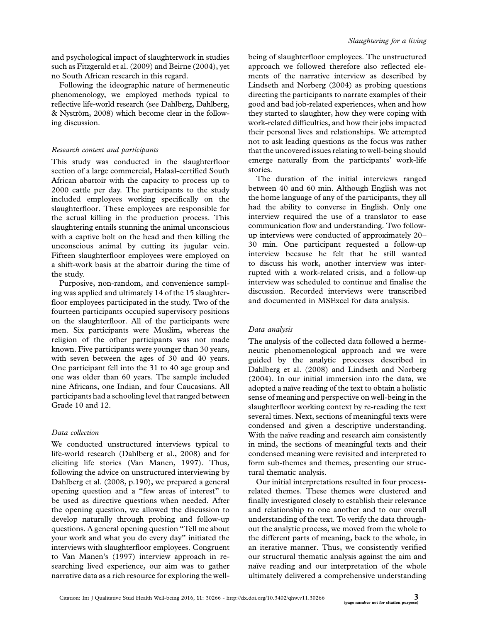and psychological impact of slaughterwork in studies such as Fitzgerald et al. (2009) and Beirne (2004), yet no South African research in this regard.

Following the ideographic nature of hermeneutic phenomenology, we employed methods typical to reflective life-world research (see Dahlberg, Dahlberg, & Nyström, 2008) which become clear in the following discussion.

#### Research context and participants

This study was conducted in the slaughterfloor section of a large commercial, Halaal-certified South African abattoir with the capacity to process up to 2000 cattle per day. The participants to the study included employees working specifically on the slaughterfloor. These employees are responsible for the actual killing in the production process. This slaughtering entails stunning the animal unconscious with a captive bolt on the head and then killing the unconscious animal by cutting its jugular vein. Fifteen slaughterfloor employees were employed on a shift-work basis at the abattoir during the time of the study.

Purposive, non-random, and convenience sampling was applied and ultimately 14 of the 15 slaughterfloor employees participated in the study. Two of the fourteen participants occupied supervisory positions on the slaughterfloor. All of the participants were men. Six participants were Muslim, whereas the religion of the other participants was not made known. Five participants were younger than 30 years, with seven between the ages of 30 and 40 years. One participant fell into the 31 to 40 age group and one was older than 60 years. The sample included nine Africans, one Indian, and four Caucasians. All participants had a schooling level that ranged between Grade 10 and 12.

# Data collection

We conducted unstructured interviews typical to life-world research (Dahlberg et al., 2008) and for eliciting life stories (Van Manen, 1997). Thus, following the advice on unstructured interviewing by Dahlberg et al. (2008, p.190), we prepared a general opening question and a ''few areas of interest'' to be used as directive questions when needed. After the opening question, we allowed the discussion to develop naturally through probing and follow-up questions. A general opening question ''Tell me about your work and what you do every day'' initiated the interviews with slaughterfloor employees. Congruent to Van Manen's (1997) interview approach in researching lived experience, our aim was to gather narrative data as a rich resource for exploring the well-

being of slaughterfloor employees. The unstructured approach we followed therefore also reflected elements of the narrative interview as described by Lindseth and Norberg (2004) as probing questions directing the participants to narrate examples of their good and bad job-related experiences, when and how they started to slaughter, how they were coping with work-related difficulties, and how their jobs impacted their personal lives and relationships. We attempted not to ask leading questions as the focus was rather that the uncovered issues relating to well-being should emerge naturally from the participants' work-life stories.

The duration of the initial interviews ranged between 40 and 60 min. Although English was not the home language of any of the participants, they all had the ability to converse in English. Only one interview required the use of a translator to ease communication flow and understanding. Two followup interviews were conducted of approximately 20- 30 min. One participant requested a follow-up interview because he felt that he still wanted to discuss his work, another interview was interrupted with a work-related crisis, and a follow-up interview was scheduled to continue and finalise the discussion. Recorded interviews were transcribed and documented in MSExcel for data analysis.

# Data analysis

The analysis of the collected data followed a hermeneutic phenomenological approach and we were guided by the analytic processes described in Dahlberg et al. (2008) and Lindseth and Norberg (2004). In our initial immersion into the data, we adopted a naïve reading of the text to obtain a holistic sense of meaning and perspective on well-being in the slaughterfloor working context by re-reading the text several times. Next, sections of meaningful texts were condensed and given a descriptive understanding. With the naïve reading and research aim consistently in mind, the sections of meaningful texts and their condensed meaning were revisited and interpreted to form sub-themes and themes, presenting our structural thematic analysis.

Our initial interpretations resulted in four processrelated themes. These themes were clustered and finally investigated closely to establish their relevance and relationship to one another and to our overall understanding of the text. To verify the data throughout the analytic process, we moved from the whole to the different parts of meaning, back to the whole, in an iterative manner. Thus, we consistently verified our structural thematic analysis against the aim and naïve reading and our interpretation of the whole ultimately delivered a comprehensive understanding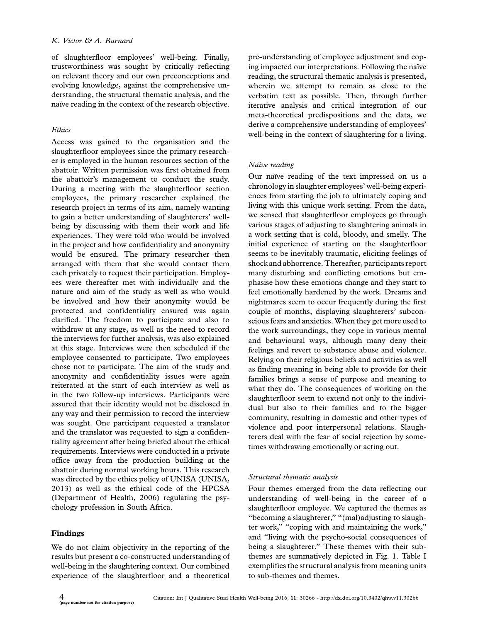of slaughterfloor employees' well-being. Finally, trustworthiness was sought by critically reflecting on relevant theory and our own preconceptions and evolving knowledge, against the comprehensive understanding, the structural thematic analysis, and the naïve reading in the context of the research objective.

# **Ethics**

Access was gained to the organisation and the slaughterfloor employees since the primary researcher is employed in the human resources section of the abattoir. Written permission was first obtained from the abattoir's management to conduct the study. During a meeting with the slaughterfloor section employees, the primary researcher explained the research project in terms of its aim, namely wanting to gain a better understanding of slaughterers' wellbeing by discussing with them their work and life experiences. They were told who would be involved in the project and how confidentiality and anonymity would be ensured. The primary researcher then arranged with them that she would contact them each privately to request their participation. Employees were thereafter met with individually and the nature and aim of the study as well as who would be involved and how their anonymity would be protected and confidentiality ensured was again clarified. The freedom to participate and also to withdraw at any stage, as well as the need to record the interviews for further analysis, was also explained at this stage. Interviews were then scheduled if the employee consented to participate. Two employees chose not to participate. The aim of the study and anonymity and confidentiality issues were again reiterated at the start of each interview as well as in the two follow-up interviews. Participants were assured that their identity would not be disclosed in any way and their permission to record the interview was sought. One participant requested a translator and the translator was requested to sign a confidentiality agreement after being briefed about the ethical requirements. Interviews were conducted in a private office away from the production building at the abattoir during normal working hours. This research was directed by the ethics policy of UNISA (UNISA, 2013) as well as the ethical code of the HPCSA (Department of Health, 2006) regulating the psychology profession in South Africa.

# Findings

We do not claim objectivity in the reporting of the results but present a co-constructed understanding of well-being in the slaughtering context. Our combined experience of the slaughterfloor and a theoretical

pre-understanding of employee adjustment and coping impacted our interpretations. Following the naïve reading, the structural thematic analysis is presented, wherein we attempt to remain as close to the verbatim text as possible. Then, through further iterative analysis and critical integration of our meta-theoretical predispositions and the data, we derive a comprehensive understanding of employees' well-being in the context of slaughtering for a living.

# Naïve reading

Our naïve reading of the text impressed on us a chronology in slaughter employees' well-being experiences from starting the job to ultimately coping and living with this unique work setting. From the data, we sensed that slaughterfloor employees go through various stages of adjusting to slaughtering animals in a work setting that is cold, bloody, and smelly. The initial experience of starting on the slaughterfloor seems to be inevitably traumatic, eliciting feelings of shock and abhorrence. Thereafter, participants report many disturbing and conflicting emotions but emphasise how these emotions change and they start to feel emotionally hardened by the work. Dreams and nightmares seem to occur frequently during the first couple of months, displaying slaughterers' subconscious fears and anxieties. When they get more used to the work surroundings, they cope in various mental and behavioural ways, although many deny their feelings and revert to substance abuse and violence. Relying on their religious beliefs and activities as well as finding meaning in being able to provide for their families brings a sense of purpose and meaning to what they do. The consequences of working on the slaughterfloor seem to extend not only to the individual but also to their families and to the bigger community, resulting in domestic and other types of violence and poor interpersonal relations. Slaughterers deal with the fear of social rejection by sometimes withdrawing emotionally or acting out.

# Structural thematic analysis

Four themes emerged from the data reflecting our understanding of well-being in the career of a slaughterfloor employee. We captured the themes as "becoming a slaughterer," "(mal)adjusting to slaughter work,'' ''coping with and maintaining the work,'' and ''living with the psycho-social consequences of being a slaughterer.'' These themes with their subthemes are summatively depicted in Fig. 1. Table I exemplifies the structural analysis from meaning units to sub-themes and themes.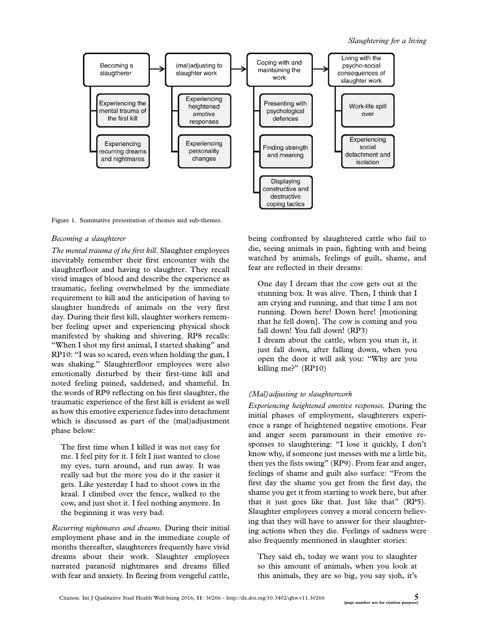

Figure 1. Summative presentation of themes and sub-themes.

#### Becoming a slaughterer

The mental trauma of the first kill. Slaughter employees inevitably remember their first encounter with the slaughterfloor and having to slaughter. They recall vivid images of blood and describe the experience as traumatic, feeling overwhelmed by the immediate requirement to kill and the anticipation of having to slaughter hundreds of animals on the very first day. During their first kill, slaughter workers remember feeling upset and experiencing physical shock manifested by shaking and shivering. RP8 recalls: ''When I shot my first animal, I started shaking'' and RP10: ''I was so scared, even when holding the gun, I was shaking.'' Slaughterfloor employees were also emotionally disturbed by their first-time kill and noted feeling pained, saddened, and shameful. In the words of RP9 reflecting on his first slaughter, the traumatic experience of the first kill is evident as well as how this emotive experience fades into detachment which is discussed as part of the (mal)adjustment phase below:

The first time when I killed it was not easy for me. I feel pity for it. I felt I just wanted to close my eyes, turn around, and run away. It was really sad but the more you do it the easier it gets. Like yesterday I had to shoot cows in the kraal. I climbed over the fence, walked to the cow, and just shot it. I feel nothing anymore. In the beginning it was very bad.

Recurring nightmares and dreams. During their initial employment phase and in the immediate couple of months thereafter, slaughterers frequently have vivid dreams about their work. Slaughter employees narrated paranoid nightmares and dreams filled with fear and anxiety. In fleeing from vengeful cattle,

being confronted by slaughtered cattle who fail to die, seeing animals in pain, fighting with and being watched by animals, feelings of guilt, shame, and fear are reflected in their dreams:

One day I dream that the cow gets out at the stunning box. It was alive. Then, I think that I am crying and running, and that time I am not running. Down here! Down here! [motioning that he fell down]. The cow is coming and you fall down! You fall down! (RP3) I dream about the cattle, when you stun it, it just fall down, after falling down, when you

open the door it will ask you: ''Why are you killing me?'' (RP10)

#### (Mal)adjusting to slaughterwork

Experiencing heightened emotive responses. During the initial phases of employment, slaughterers experience a range of heightened negative emotions. Fear and anger seem paramount in their emotive responses to slaughtering: ''I lose it quickly, I don't know why, if someone just messes with me a little bit, then yes the fists swing'' (RP9). From fear and anger, feelings of shame and guilt also surface: ''From the first day the shame you get from the first day, the shame you get it from starting to work here, but after that it just goes like that. Just like that'' (RP5). Slaughter employees convey a moral concern believing that they will have to answer for their slaughtering actions when they die. Feelings of sadness were also frequently mentioned in slaughter stories:

They said eh, today we want you to slaughter so this amount of animals, when you look at this animals, they are so big, you say sjoh, it's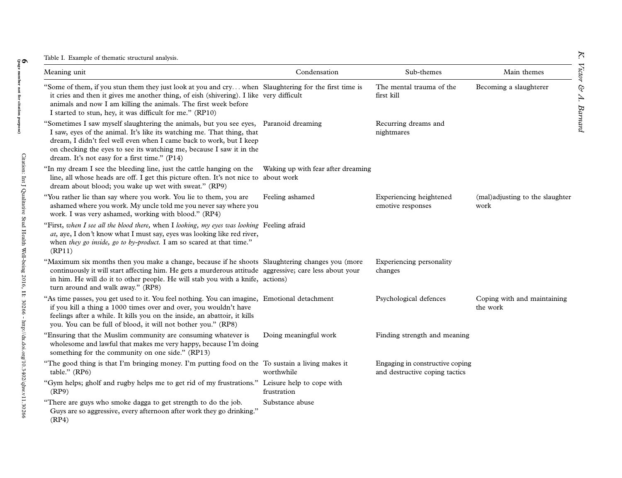Table I. Example of thematic structural analysis.

| Meaning unit                                                                                                                                                                                                                                                                                                                                                    | Condensation                       | Sub-themes                                                        | Main themes                              |
|-----------------------------------------------------------------------------------------------------------------------------------------------------------------------------------------------------------------------------------------------------------------------------------------------------------------------------------------------------------------|------------------------------------|-------------------------------------------------------------------|------------------------------------------|
| "Some of them, if you stun them they just look at you and cry when Slaughtering for the first time is<br>it cries and then it gives me another thing, of eish (shivering). I like very difficult<br>animals and now I am killing the animals. The first week before<br>I started to stun, hey, it was difficult for me." (RP10)                                 |                                    | The mental trauma of the<br>first kill                            | Becoming a slaughterer                   |
| "Sometimes I saw myself slaughtering the animals, but you see eyes, Paranoid dreaming<br>I saw, eyes of the animal. It's like its watching me. That thing, that<br>dream, I didn't feel well even when I came back to work, but I keep<br>on checking the eyes to see its watching me, because I saw it in the<br>dream. It's not easy for a first time." (P14) |                                    | Recurring dreams and<br>nightmares                                |                                          |
| "In my dream I see the bleeding line, just the cattle hanging on the<br>line, all whose heads are off. I get this picture often. It's not nice to about work<br>dream about blood; you wake up wet with sweat." (RP9)                                                                                                                                           | Waking up with fear after dreaming |                                                                   |                                          |
| "You rather lie than say where you work. You lie to them, you are<br>ashamed where you work. My uncle told me you never say where you<br>work. I was very ashamed, working with blood." (RP4)                                                                                                                                                                   | Feeling ashamed                    | Experiencing heightened<br>emotive responses                      | (mal) adjusting to the slaughter<br>work |
| "First, when I see all the blood there, when I looking, my eyes was looking Feeling afraid<br>at, aye, I don't know what I must say, eyes was looking like red river,<br>when they go inside, go to by-product. I am so scared at that time."<br>(RP11)                                                                                                         |                                    |                                                                   |                                          |
| "Maximum six months then you make a change, because if he shoots Slaughtering changes you (more<br>continuously it will start affecting him. He gets a murderous attitude aggressive; care less about your<br>in him. He will do it to other people. He will stab you with a knife, actions)<br>turn around and walk away." (RP8)                               |                                    | Experiencing personality<br>changes                               |                                          |
| "As time passes, you get used to it. You feel nothing. You can imagine, Emotional detachment<br>if you kill a thing a 1000 times over and over, you wouldn't have<br>feelings after a while. It kills you on the inside, an abattoir, it kills<br>you. You can be full of blood, it will not bother you." (RP8)                                                 |                                    | Psychological defences                                            | Coping with and maintaining<br>the work  |
| "Ensuring that the Muslim community are consuming whatever is<br>wholesome and lawful that makes me very happy, because I'm doing<br>something for the community on one side." (RP13)                                                                                                                                                                           | Doing meaningful work              | Finding strength and meaning                                      |                                          |
| "The good thing is that I'm bringing money. I'm putting food on the To sustain a living makes it<br>table." (RP6)                                                                                                                                                                                                                                               | worthwhile                         | Engaging in constructive coping<br>and destructive coping tactics |                                          |
| "Gym helps; gholf and rugby helps me to get rid of my frustrations." Leisure help to cope with<br>(RP9)                                                                                                                                                                                                                                                         | frustration                        |                                                                   |                                          |
| "There are guys who smoke dagga to get strength to do the job.<br>Guys are so aggressive, every afternoon after work they go drinking."<br>(RP4)                                                                                                                                                                                                                | Substance abuse                    |                                                                   |                                          |

(page number not for citation purpose)

number š ្អូ Ē (asod.nd

 $6$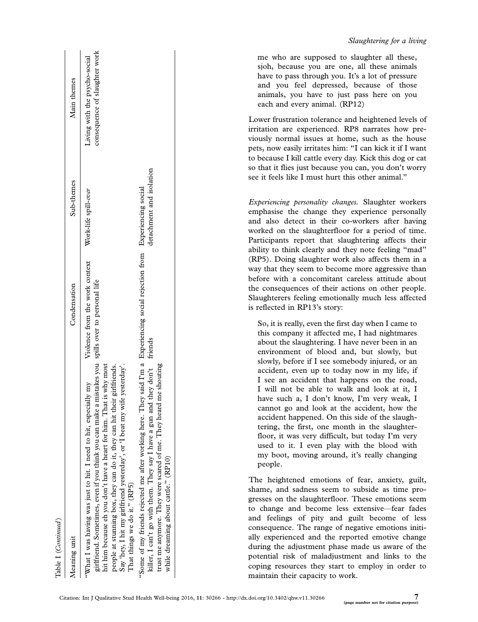| l<br>í<br>ï<br>֚֘֝ |
|--------------------|

| Meaning unit                                                                                                                                                                                                                                                                                                                                                                                   | Condensation                                                                | Sub-themes                                      | Main themes                                                    |
|------------------------------------------------------------------------------------------------------------------------------------------------------------------------------------------------------------------------------------------------------------------------------------------------------------------------------------------------------------------------------------------------|-----------------------------------------------------------------------------|-------------------------------------------------|----------------------------------------------------------------|
| Say 'hey, I hit my girlfriend yesterday', or 'I beat my wife yesterday'.<br>hit him because eh you don't have a heart for him. That is why most<br>girlfriends.<br>"What I was having was just to hit. I need to hit, especially my<br>girlfriend. Sometimes, even if you think you can make a m<br>people at stunning box, they can do it, they can hit their<br>That things we do it." (RP5) | Violence from the work context<br>iistakes you spills over to personal life | Work-life spill-over                            | consequence of slaughter work<br>Living with the psycho-social |
| killer, I can't go with them. They say I have a gun and they don't friends<br>trust me anymore. They were scared of me. They heard me shouting<br>Some of my friends rejected me after working here. They<br>while dreaming about cattle." (RP10)                                                                                                                                              | said I'm a Experiencing social rejection from                               | detachment and isolation<br>Experiencing social |                                                                |

Slaughtering for a living

me who are supposed to slaughter all these, sjoh, because you are one, all these animals have to pass through you. It's a lot of pressure and you feel depressed, because of those animals, you have to just pass here on you each and every animal. (RP12)

Lower frustration tolerance and heightened levels of irritation are experienced. RP8 narrates how previously normal issues at home, such as the house pets, now easily irritates him: ''I can kick it if I want to because I kill cattle every day. Kick this dog or cat so that it flies just because you can, you don't worry see it feels like I must hurt this other animal.''

Experiencing personality changes. Slaughter workers emphasise the change they experience personally and also detect in their co-workers after having worked on the slaughterfloor for a period of time. Participants report that slaughtering affects their ability to think clearly and they note feeling ''mad'' (RP5). Doing slaughter work also affects them in a way that they seem to become more aggressive than before with a concomitant careless attitude about the consequences of their actions on other people. Slaughterers feeling emotionally much less affected is reflected in RP13's story:

So, it is really, even the first day when I came to this company it affected me, I had nightmares about the slaughtering. I have never been in an environment of blood and, but slowly, but slowly, before if I see somebody injured, or an accident, even up to today now in my life, if I see an accident that happens on the road, I will not be able to walk and look at it, I have such a, I don't know, I'm very weak, I cannot go and look at the accident, how the accident happened. On this side of the slaughtering, the first, one month in the slaughterfloor, it was very difficult, but today I'm very used to it. I even play with the blood with my boot, moving around, it's really changing people.

The heightened emotions of fear, anxiety, guilt, shame, and sadness seem to subside as time progresses on the slaughterfloor. These emotions seem to change and become less extensive—fear fades and feelings of pity and guilt become of less consequence. The range of negative emotions initially experienced and the reported emotive change during the adjustment phase made us aware of the potential risk of maladjustment and links to the coping resources they start to employ in order to maintain their capacity to work.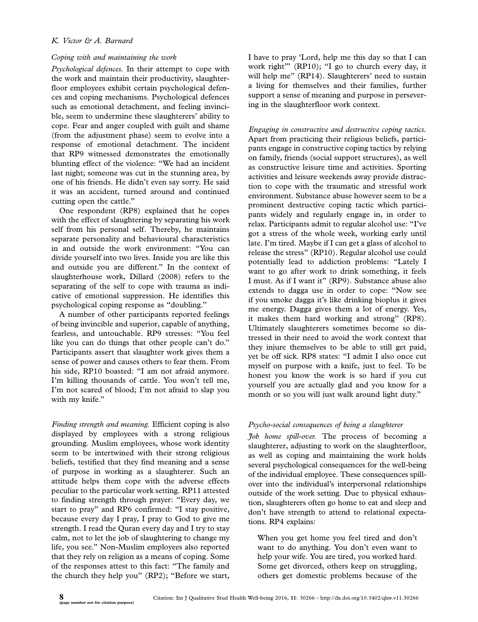# K. Victor & A. Barnard

#### Coping with and maintaining the work

Psychological defences. In their attempt to cope with the work and maintain their productivity, slaughterfloor employees exhibit certain psychological defences and coping mechanisms. Psychological defences such as emotional detachment, and feeling invincible, seem to undermine these slaughterers' ability to cope. Fear and anger coupled with guilt and shame (from the adjustment phase) seem to evolve into a response of emotional detachment. The incident that RP9 witnessed demonstrates the emotionally blunting effect of the violence: ''We had an incident last night; someone was cut in the stunning area, by one of his friends. He didn't even say sorry. He said it was an accident, turned around and continued cutting open the cattle.''

One respondent (RP8) explained that he copes with the effect of slaughtering by separating his work self from his personal self. Thereby, he maintains separate personality and behavioural characteristics in and outside the work environment: ''You can divide yourself into two lives. Inside you are like this and outside you are different.'' In the context of slaughterhouse work, Dillard (2008) refers to the separating of the self to cope with trauma as indicative of emotional suppression. He identifies this psychological coping response as ''doubling.''

A number of other participants reported feelings of being invincible and superior, capable of anything, fearless, and untouchable. RP9 stresses: ''You feel like you can do things that other people can't do.'' Participants assert that slaughter work gives them a sense of power and causes others to fear them. From his side, RP10 boasted: "I am not afraid anymore. I'm killing thousands of cattle. You won't tell me, I'm not scared of blood; I'm not afraid to slap you with my knife.''

Finding strength and meaning. Efficient coping is also displayed by employees with a strong religious grounding. Muslim employees, whose work identity seem to be intertwined with their strong religious beliefs, testified that they find meaning and a sense of purpose in working as a slaughterer. Such an attitude helps them cope with the adverse effects peculiar to the particular work setting. RP11 attested to finding strength through prayer: ''Every day, we start to pray'' and RP6 confirmed: ''I stay positive, because every day I pray, I pray to God to give me strength. I read the Quran every day and I try to stay calm, not to let the job of slaughtering to change my life, you see.'' Non-Muslim employees also reported that they rely on religion as a means of coping. Some of the responses attest to this fact: ''The family and the church they help you'' (RP2); ''Before we start, I have to pray 'Lord, help me this day so that I can work right''' (RP10); ''I go to church every day, it will help me'' (RP14). Slaughterers' need to sustain a living for themselves and their families, further support a sense of meaning and purpose in persevering in the slaughterfloor work context.

Engaging in constructive and destructive coping tactics. Apart from practicing their religious beliefs, participants engage in constructive coping tactics by relying on family, friends (social support structures), as well as constructive leisure time and activities. Sporting activities and leisure weekends away provide distraction to cope with the traumatic and stressful work environment. Substance abuse however seem to be a prominent destructive coping tactic which participants widely and regularly engage in, in order to relax. Participants admit to regular alcohol use: ''I've got a stress of the whole week, working early until late. I'm tired. Maybe if I can get a glass of alcohol to release the stress'' (RP10). Regular alcohol use could potentially lead to addiction problems: ''Lately I want to go after work to drink something, it feels I must. As if I want it'' (RP9). Substance abuse also extends to dagga use in order to cope: ''Now see if you smoke dagga it's like drinking bioplus it gives me energy. Dagga gives them a lot of energy. Yes, it makes them hard working and strong'' (RP8). Ultimately slaughterers sometimes become so distressed in their need to avoid the work context that they injure themselves to be able to still get paid, yet be off sick. RP8 states: ''I admit I also once cut myself on purpose with a knife, just to feel. To be honest you know the work is so hard if you cut yourself you are actually glad and you know for a month or so you will just walk around light duty.''

#### Psycho-social consequences of being a slaughterer

Job home spill-over. The process of becoming a slaughterer, adjusting to work on the slaughterfloor, as well as coping and maintaining the work holds several psychological consequences for the well-being of the individual employee. These consequences spillover into the individual's interpersonal relationships outside of the work setting. Due to physical exhaustion, slaughterers often go home to eat and sleep and don't have strength to attend to relational expectations. RP4 explains:

When you get home you feel tired and don't want to do anything. You don't even want to help your wife. You are tired, you worked hard. Some get divorced, others keep on struggling, others get domestic problems because of the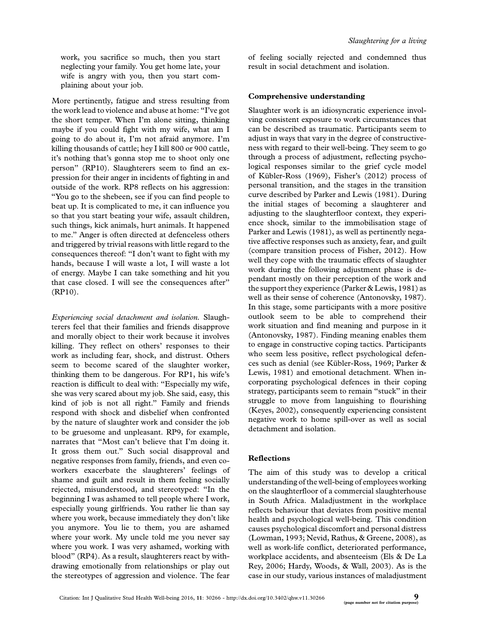work, you sacrifice so much, then you start neglecting your family. You get home late, your wife is angry with you, then you start complaining about your job.

More pertinently, fatigue and stress resulting from the work lead to violence and abuse at home: ''I've got the short temper. When I'm alone sitting, thinking maybe if you could fight with my wife, what am I going to do about it, I'm not afraid anymore. I'm killing thousands of cattle; hey I kill 800 or 900 cattle, it's nothing that's gonna stop me to shoot only one person'' (RP10). Slaughterers seem to find an expression for their anger in incidents of fighting in and outside of the work. RP8 reflects on his aggression: ''You go to the shebeen, see if you can find people to beat up. It is complicated to me, it can influence you so that you start beating your wife, assault children, such things, kick animals, hurt animals. It happened to me.'' Anger is often directed at defenceless others and triggered by trivial reasons with little regard to the consequences thereof: ''I don't want to fight with my hands, because I will waste a lot, I will waste a lot of energy. Maybe I can take something and hit you that case closed. I will see the consequences after'' (RP10).

Experiencing social detachment and isolation. Slaughterers feel that their families and friends disapprove and morally object to their work because it involves killing. They reflect on others' responses to their work as including fear, shock, and distrust. Others seem to become scared of the slaughter worker, thinking them to be dangerous. For RP1, his wife's reaction is difficult to deal with: ''Especially my wife, she was very scared about my job. She said, easy, this kind of job is not all right.'' Family and friends respond with shock and disbelief when confronted by the nature of slaughter work and consider the job to be gruesome and unpleasant. RP9, for example, narrates that ''Most can't believe that I'm doing it. It gross them out.'' Such social disapproval and negative responses from family, friends, and even coworkers exacerbate the slaughterers' feelings of shame and guilt and result in them feeling socially rejected, misunderstood, and stereotyped: ''In the beginning I was ashamed to tell people where I work, especially young girlfriends. You rather lie than say where you work, because immediately they don't like you anymore. You lie to them, you are ashamed where your work. My uncle told me you never say where you work. I was very ashamed, working with blood'' (RP4). As a result, slaughterers react by withdrawing emotionally from relationships or play out the stereotypes of aggression and violence. The fear of feeling socially rejected and condemned thus result in social detachment and isolation.

#### Comprehensive understanding

Slaughter work is an idiosyncratic experience involving consistent exposure to work circumstances that can be described as traumatic. Participants seem to adjust in ways that vary in the degree of constructiveness with regard to their well-being. They seem to go through a process of adjustment, reflecting psychological responses similar to the grief cycle model of Kübler-Ross (1969), Fisher's (2012) process of personal transition, and the stages in the transition curve described by Parker and Lewis (1981). During the initial stages of becoming a slaughterer and adjusting to the slaughterfloor context, they experience shock, similar to the immobilisation stage of Parker and Lewis (1981), as well as pertinently negative affective responses such as anxiety, fear, and guilt (compare transition process of Fisher, 2012). How well they cope with the traumatic effects of slaughter work during the following adjustment phase is dependant mostly on their perception of the work and the support they experience (Parker  $&$  Lewis, 1981) as well as their sense of coherence (Antonovsky, 1987). In this stage, some participants with a more positive outlook seem to be able to comprehend their work situation and find meaning and purpose in it (Antonovsky, 1987). Finding meaning enables them to engage in constructive coping tactics. Participants who seem less positive, reflect psychological defences such as denial (see Kübler-Ross, 1969; Parker & Lewis, 1981) and emotional detachment. When incorporating psychological defences in their coping strategy, participants seem to remain ''stuck'' in their struggle to move from languishing to flourishing (Keyes, 2002), consequently experiencing consistent negative work to home spill-over as well as social detachment and isolation.

# Reflections

The aim of this study was to develop a critical understanding of the well-being of employees working on the slaughterfloor of a commercial slaughterhouse in South Africa. Maladjustment in the workplace reflects behaviour that deviates from positive mental health and psychological well-being. This condition causes psychological discomfort and personal distress (Lowman, 1993; Nevid, Rathus, & Greene, 2008), as well as work-life conflict, deteriorated performance, workplace accidents, and absenteeism (Els & De La Rey, 2006; Hardy, Woods, & Wall, 2003). As is the case in our study, various instances of maladjustment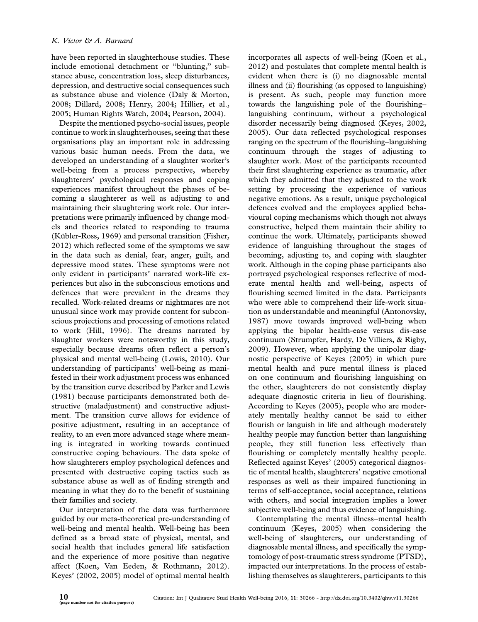have been reported in slaughterhouse studies. These include emotional detachment or ''blunting,'' substance abuse, concentration loss, sleep disturbances, depression, and destructive social consequences such as substance abuse and violence (Daly & Morton, 2008; Dillard, 2008; Henry, 2004; Hillier, et al., 2005; Human Rights Watch, 2004; Pearson, 2004).

Despite the mentioned psycho-social issues, people continue to work in slaughterhouses, seeing that these organisations play an important role in addressing various basic human needs. From the data, we developed an understanding of a slaughter worker's well-being from a process perspective, whereby slaughterers' psychological responses and coping experiences manifest throughout the phases of becoming a slaughterer as well as adjusting to and maintaining their slaughtering work role. Our interpretations were primarily influenced by change models and theories related to responding to trauma (Kübler-Ross, 1969) and personal transition (Fisher, 2012) which reflected some of the symptoms we saw in the data such as denial, fear, anger, guilt, and depressive mood states. These symptoms were not only evident in participants' narrated work-life experiences but also in the subconscious emotions and defences that were prevalent in the dreams they recalled. Work-related dreams or nightmares are not unusual since work may provide content for subconscious projections and processing of emotions related to work (Hill, 1996). The dreams narrated by slaughter workers were noteworthy in this study, especially because dreams often reflect a person's physical and mental well-being (Lowis, 2010). Our understanding of participants' well-being as manifested in their work adjustment process was enhanced by the transition curve described by Parker and Lewis (1981) because participants demonstrated both destructive (maladjustment) and constructive adjustment. The transition curve allows for evidence of positive adjustment, resulting in an acceptance of reality, to an even more advanced stage where meaning is integrated in working towards continued constructive coping behaviours. The data spoke of how slaughterers employ psychological defences and presented with destructive coping tactics such as substance abuse as well as of finding strength and meaning in what they do to the benefit of sustaining their families and society.

Our interpretation of the data was furthermore guided by our meta-theoretical pre-understanding of well-being and mental health. Well-being has been defined as a broad state of physical, mental, and social health that includes general life satisfaction and the experience of more positive than negative affect (Koen, Van Eeden, & Rothmann, 2012). Keyes' (2002, 2005) model of optimal mental health

incorporates all aspects of well-being (Koen et al., 2012) and postulates that complete mental health is evident when there is (i) no diagnosable mental illness and (ii) flourishing (as opposed to languishing) is present. As such, people may function more towards the languishing pole of the flourishing languishing continuum, without a psychological disorder necessarily being diagnosed (Keyes, 2002, 2005). Our data reflected psychological responses ranging on the spectrum of the flourishing-languishing continuum through the stages of adjusting to slaughter work. Most of the participants recounted their first slaughtering experience as traumatic, after which they admitted that they adjusted to the work setting by processing the experience of various negative emotions. As a result, unique psychological defences evolved and the employees applied behavioural coping mechanisms which though not always constructive, helped them maintain their ability to continue the work. Ultimately, participants showed evidence of languishing throughout the stages of becoming, adjusting to, and coping with slaughter work. Although in the coping phase participants also portrayed psychological responses reflective of moderate mental health and well-being, aspects of flourishing seemed limited in the data. Participants who were able to comprehend their life-work situation as understandable and meaningful (Antonovsky, 1987) move towards improved well-being when applying the bipolar health-ease versus dis-ease continuum (Strumpfer, Hardy, De Villiers, & Rigby, 2009). However, when applying the unipolar diagnostic perspective of Keyes (2005) in which pure mental health and pure mental illness is placed on one continuum and flourishing-languishing on the other, slaughterers do not consistently display adequate diagnostic criteria in lieu of flourishing. According to Keyes (2005), people who are moderately mentally healthy cannot be said to either flourish or languish in life and although moderately healthy people may function better than languishing people, they still function less effectively than flourishing or completely mentally healthy people. Reflected against Keyes' (2005) categorical diagnostic of mental health, slaughterers' negative emotional responses as well as their impaired functioning in terms of self-acceptance, social acceptance, relations with others, and social integration implies a lower subjective well-being and thus evidence of languishing.

Contemplating the mental illness-mental health continuum (Keyes, 2005) when considering the well-being of slaughterers, our understanding of diagnosable mental illness, and specifically the symptomology of post-traumatic stress syndrome (PTSD), impacted our interpretations. In the process of establishing themselves as slaughterers, participants to this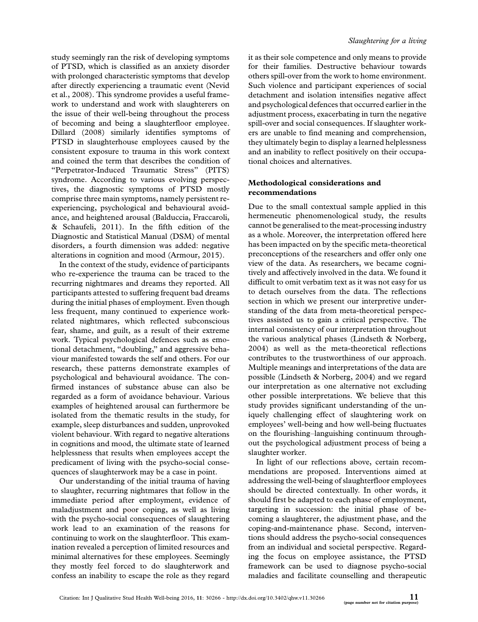study seemingly ran the risk of developing symptoms of PTSD, which is classified as an anxiety disorder with prolonged characteristic symptoms that develop after directly experiencing a traumatic event (Nevid et al., 2008). This syndrome provides a useful framework to understand and work with slaughterers on the issue of their well-being throughout the process of becoming and being a slaughterfloor employee. Dillard (2008) similarly identifies symptoms of PTSD in slaughterhouse employees caused by the consistent exposure to trauma in this work context and coined the term that describes the condition of ''Perpetrator-Induced Traumatic Stress'' (PITS) syndrome. According to various evolving perspectives, the diagnostic symptoms of PTSD mostly comprise three main symptoms, namely persistent reexperiencing, psychological and behavioural avoidance, and heightened arousal (Balduccia, Fraccaroli, & Schaufeli, 2011). In the fifth edition of the Diagnostic and Statistical Manual (DSM) of mental disorders, a fourth dimension was added: negative alterations in cognition and mood (Armour, 2015).

In the context of the study, evidence of participants who re-experience the trauma can be traced to the recurring nightmares and dreams they reported. All participants attested to suffering frequent bad dreams during the initial phases of employment. Even though less frequent, many continued to experience workrelated nightmares, which reflected subconscious fear, shame, and guilt, as a result of their extreme work. Typical psychological defences such as emotional detachment, ''doubling,'' and aggressive behaviour manifested towards the self and others. For our research, these patterns demonstrate examples of psychological and behavioural avoidance. The confirmed instances of substance abuse can also be regarded as a form of avoidance behaviour. Various examples of heightened arousal can furthermore be isolated from the thematic results in the study, for example, sleep disturbances and sudden, unprovoked violent behaviour. With regard to negative alterations in cognitions and mood, the ultimate state of learned helplessness that results when employees accept the predicament of living with the psycho-social consequences of slaughterwork may be a case in point.

Our understanding of the initial trauma of having to slaughter, recurring nightmares that follow in the immediate period after employment, evidence of maladjustment and poor coping, as well as living with the psycho-social consequences of slaughtering work lead to an examination of the reasons for continuing to work on the slaughterfloor. This examination revealed a perception of limited resources and minimal alternatives for these employees. Seemingly they mostly feel forced to do slaughterwork and confess an inability to escape the role as they regard it as their sole competence and only means to provide for their families. Destructive behaviour towards others spill-over from the work to home environment. Such violence and participant experiences of social detachment and isolation intensifies negative affect and psychological defences that occurred earlier in the adjustment process, exacerbating in turn the negative spill-over and social consequences. If slaughter workers are unable to find meaning and comprehension, they ultimately begin to display a learned helplessness and an inability to reflect positively on their occupational choices and alternatives.

# Methodological considerations and recommendations

Due to the small contextual sample applied in this hermeneutic phenomenological study, the results cannot be generalised to the meat-processing industry as a whole. Moreover, the interpretation offered here has been impacted on by the specific meta-theoretical preconceptions of the researchers and offer only one view of the data. As researchers, we became cognitively and affectively involved in the data. We found it difficult to omit verbatim text as it was not easy for us to detach ourselves from the data. The reflections section in which we present our interpretive understanding of the data from meta-theoretical perspectives assisted us to gain a critical perspective. The internal consistency of our interpretation throughout the various analytical phases (Lindseth & Norberg, 2004) as well as the meta-theoretical reflections contributes to the trustworthiness of our approach. Multiple meanings and interpretations of the data are possible (Lindseth & Norberg, 2004) and we regard our interpretation as one alternative not excluding other possible interpretations. We believe that this study provides significant understanding of the uniquely challenging effect of slaughtering work on employees' well-being and how well-being fluctuates on the flourishing-languishing continuum throughout the psychological adjustment process of being a slaughter worker.

In light of our reflections above, certain recommendations are proposed. Interventions aimed at addressing the well-being of slaughterfloor employees should be directed contextually. In other words, it should first be adapted to each phase of employment, targeting in succession: the initial phase of becoming a slaughterer, the adjustment phase, and the coping-and-maintenance phase. Second, interventions should address the psycho-social consequences from an individual and societal perspective. Regarding the focus on employee assistance, the PTSD framework can be used to diagnose psycho-social maladies and facilitate counselling and therapeutic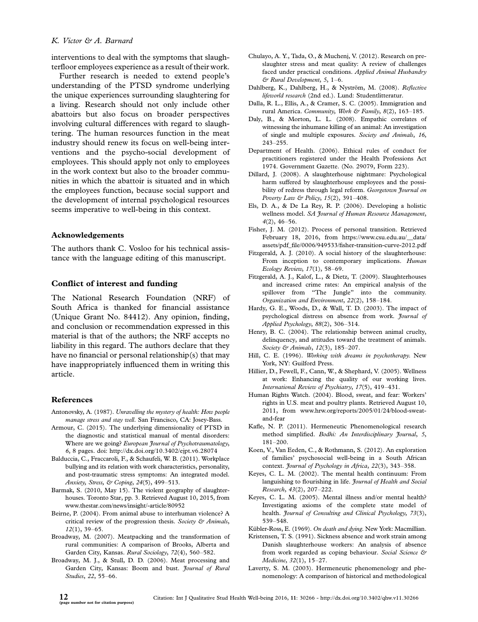#### K. Victor & A. Barnard

interventions to deal with the symptoms that slaughterfloor employees experience as a result of their work.

Further research is needed to extend people's understanding of the PTSD syndrome underlying the unique experiences surrounding slaughtering for a living. Research should not only include other abattoirs but also focus on broader perspectives involving cultural differences with regard to slaughtering. The human resources function in the meat industry should renew its focus on well-being interventions and the psycho-social development of employees. This should apply not only to employees in the work context but also to the broader communities in which the abattoir is situated and in which the employees function, because social support and the development of internal psychological resources seems imperative to well-being in this context.

#### Acknowledgements

The authors thank C. Vosloo for his technical assistance with the language editing of this manuscript.

#### Conflict of interest and funding

The National Research Foundation (NRF) of South Africa is thanked for financial assistance (Unique Grant No. 84412). Any opinion, finding, and conclusion or recommendation expressed in this material is that of the authors; the NRF accepts no liability in this regard. The authors declare that they have no financial or personal relationship(s) that may have inappropriately influenced them in writing this article.

#### References

- Antonovsky, A. (1987). Unravelling the mystery of health: How people manage stress and stay well. San Francisco, CA: Josey-Bass.
- Armour, C. (2015). The underlying dimensionality of PTSD in the diagnostic and statistical manual of mental disorders: Where are we going? European Journal of Psychotraumatology, 6, 8 pages. doi:<http://dx.doi.org/10.3402/ejpt.v6.28074>
- Balduccia, C., Fraccaroli, F., & Schaufeli, W. B. (2011). Workplace bullying and its relation with work characteristics, personality, and post-traumatic stress symptoms: An integrated model. Anxiety, Stress, & Coping, 24(5), 499-513.
- Barmak, S. (2010, May 15). The violent geography of slaughterhouses. Toronto Star, pp. 3. Retrieved August 10, 2015, from [www.thestar.com/news/insight/-article/80952](http://www.thestar.com/news/insight/-article/80952)
- Beirne, P. (2004). From animal abuse to interhuman violence? A critical review of the progression thesis. Society  $\mathfrak{S}$  Animals, 12(1), 39-65.
- Broadway, M. (2007). Meatpacking and the transformation of rural communities: A comparison of Brooks, Alberta and Garden City, Kansas. Rural Sociology, 72(4), 560-582.
- Broadway, M. J., & Stull, D. D. (2006). Meat processing and Garden City, Kansas: Boom and bust. Journal of Rural Studies, 22, 55-66.
- Chulayo, A. Y., Tada, O., & Muchenj, V. (2012). Research on preslaughter stress and meat quality: A review of challenges faced under practical conditions. Applied Animal Husbandry & Rural Development, 5, 1-6.
- Dahlberg, K., Dahlberg, H., & Nyström, M. (2008). Reflective lifeworld research (2nd ed.). Lund: Studentlitteratur.
- Dalla, R. L., Ellis, A., & Cramer, S. C. (2005). Immigration and rural America. Community, Work & Family, 8(2), 163-185.
- Daly, B., & Morton, L. L. (2008). Empathic correlates of witnessing the inhumane killing of an animal: An investigation of single and multiple exposures. Society and Animals, 16, 243-255.
- Department of Health. (2006). Ethical rules of conduct for practitioners registered under the Health Professions Act 1974. Government Gazette. (No. 29079, Form 223).
- Dillard, J. (2008). A slaughterhouse nightmare: Psychological harm suffered by slaughterhouse employees and the possibility of redress through legal reform. Georgetown Journal on Poverty Law & Policy, 15(2), 391-408.
- Els, D. A., & De La Rey, R. P. (2006). Developing a holistic wellness model. SA Journal of Human Resource Management, 4(2), 46-56.
- Fisher, J. M. (2012). Process of personal transition. Retrieved February 18, 2016, from [https://www.csu.edu.au/\\_\\_data/](https://www.csu.edu.au/__data/assets/pdf_file/0006/949533/fisher-transition-curve-2012.pdf) [assets/pdf\\_file/0006/949533/fisher-transition-curve-2012.pdf](https://www.csu.edu.au/__data/assets/pdf_file/0006/949533/fisher-transition-curve-2012.pdf)
- Fitzgerald, A. J. (2010). A social history of the slaughterhouse: From inception to contemporary implications. Human Ecology Review, 17(1), 58-69.
- Fitzgerald, A. J., Kalof, L., & Dietz, T. (2009). Slaughterhouses and increased crime rates: An empirical analysis of the spillover from ''The Jungle'' into the community. Organization and Environment, 22(2), 158-184.
- Hardy, G. E., Woods, D., & Wall, T. D. (2003). The impact of psychological distress on absence from work. Journal of Applied Psychology, 88(2), 306-314.
- Henry, B. C. (2004). The relationship between animal cruelty, delinquency, and attitudes toward the treatment of animals. Society & Animals, 12(3), 185-207.
- Hill, C. E. (1996). Working with dreams in psychotherapy. New York, NY: Guilford Press.
- Hillier, D., Fewell, F., Cann, W., & Shephard, V. (2005). Wellness at work: Enhancing the quality of our working lives. International Review of Psychiatry, 17(5), 419-431.
- Human Rights Watch. (2004). Blood, sweat, and fear: Workers' rights in U.S. meat and poultry plants. Retrieved August 10, 2011, from [www.hrw.org/reports/2005/01/24/blood-sweat](http://www.hrw.org/reports/2005/01/24/blood-sweat-and-fear)[and-fear](http://www.hrw.org/reports/2005/01/24/blood-sweat-and-fear)
- Kafle, N. P. (2011). Hermeneutic Phenomenological research method simplified. Bodhi: An Interdisciplinary Journal, 5, 181-200.
- Koen, V., Van Eeden, C., & Rothmann, S. (2012). An exploration of families' psychosocial well-being in a South African context. Journal of Psychology in Africa, 22(3), 343-358.
- Keyes, C. L. M. (2002). The mental health continuum: From languishing to flourishing in life. Journal of Health and Social Research, 43(2), 207-222.
- Keyes, C. L. M. (2005). Mental illness and/or mental health? Investigating axioms of the complete state model of health. Journal of Consulting and Clinical Psychology, 73(3), 539-548.
- Kübler-Ross, E. (1969). On death and dying. New York: Macmillian.
- Kristensen, T. S. (1991). Sickness absence and work strain among Danish slaughterhouse workers: An analysis of absence from work regarded as coping behaviour. Social Science & Medicine, 32(1), 15-27.
- Laverty, S. M. (2003). Hermeneutic phenomenology and phenomenology: A comparison of historical and methodological